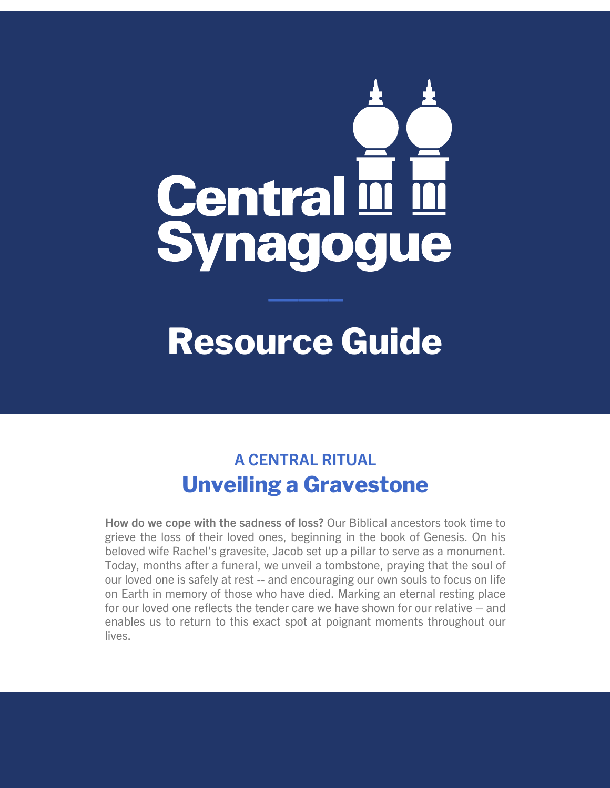# Central III III<br>Synagogue

# **Resource Guide**

# **A CENTRAL RITUAL Unveiling a Gravestone**

**How do we cope with the sadness of loss?** Our Biblical ancestors took time to grieve the loss of their loved ones, beginning in the book of Genesis. On his beloved wife Rachel's gravesite, Jacob set up a pillar to serve as a monument. Today, months after a funeral, we unveil a tombstone, praying that the soul of our loved one is safely at rest -- and encouraging our own souls to focus on life on Earth in memory of those who have died. Marking an eternal resting place for our loved one reflects the tender care we have shown for our relative – and enables us to return to this exact spot at poignant moments throughout our lives.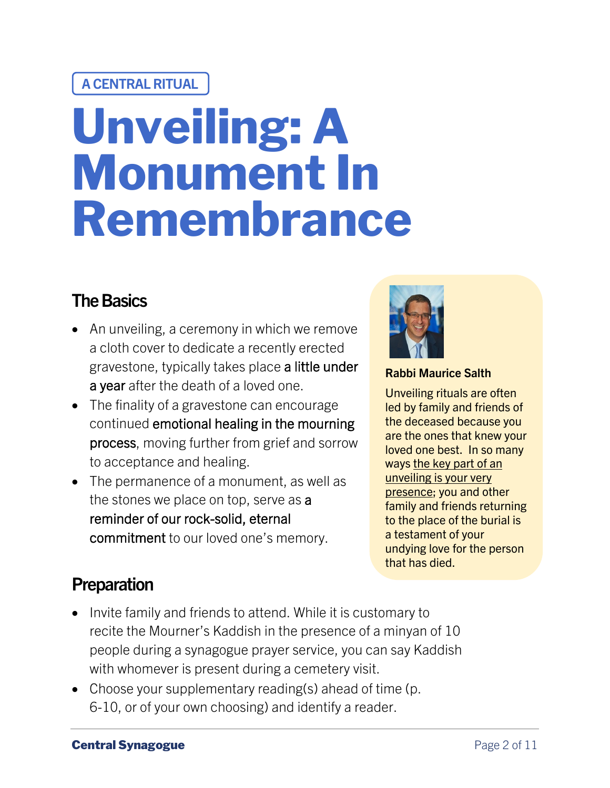#### **A CENTRAL RITUAL**

# **Unveiling: A Monument In Remembrance**

## **The Basics**

- An unveiling, a ceremony in which we remove a cloth cover to dedicate a recently erected gravestone, typically takes place a little under a year after the death of a loved one.
- The finality of a gravestone can encourage continued emotional healing in the mourning process, moving further from grief and sorrow to acceptance and healing.
- The permanence of a monument, as well as the stones we place on top, serve as a reminder of our rock-solid, eternal commitment to our loved one's memory.



#### **Rabbi Maurice Salth**

Unveiling rituals are often led by family and friends of the deceased because you are the ones that knew your loved one best. In so many ways the key part of an unveiling is your very presence; you and other family and friends returning to the place of the burial is a testament of your undying love for the person that has died.

#### **Preparation**

- Invite family and friends to attend. While it is customary to recite the Mourner's Kaddish in the presence of a minyan of 10 people during a synagogue prayer service, you can say Kaddish with whomever is present during a cemetery visit.
- Choose your supplementary reading(s) ahead of time (p. 6-10, or of your own choosing) and identify a reader.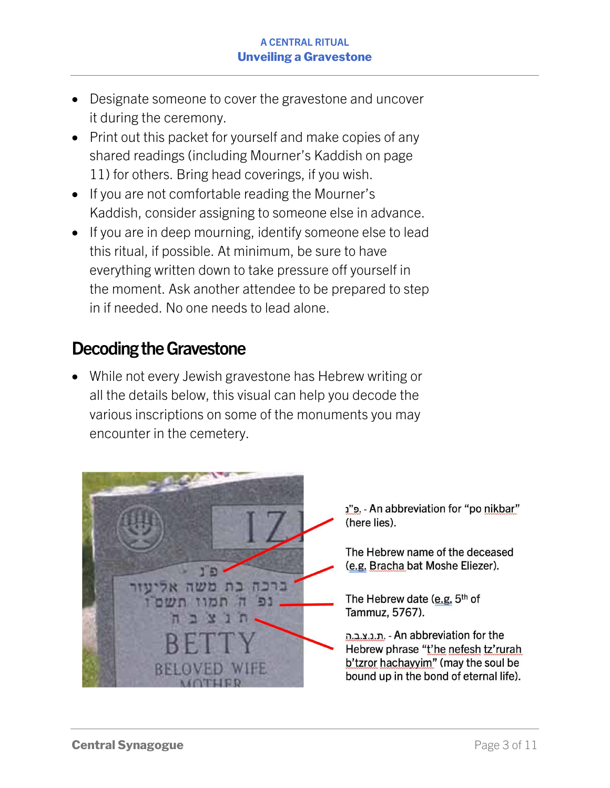- Designate someone to cover the gravestone and uncover it during the ceremony.
- Print out this packet for yourself and make copies of any shared readings (including Mourner's Kaddish on page 11) for others. Bring head coverings, if you wish.
- If you are not comfortable reading the Mourner's Kaddish, consider assigning to someone else in advance.
- If you are in deep mourning, identify someone else to lead this ritual, if possible. At minimum, be sure to have everything written down to take pressure off yourself in the moment. Ask another attendee to be prepared to step in if needed. No one needs to lead alone.

#### **Decoding the Gravestone**

• While not every Jewish gravestone has Hebrew writing or all the details below, this visual can help you decode the various inscriptions on some of the monuments you may encounter in the cemetery.



"פ. - An abbreviation for "po nikbar" (here lies).

The Hebrew name of the deceased (e.g. Bracha bat Moshe Eliezer).

The Hebrew date (e.g. 5th of Tammuz, 5767).

ת.נ.צ.ב.ה - An abbreviation for the Hebrew phrase "t'he nefesh tz'rurah b'tzror hachayyim" (may the soul be bound up in the bond of eternal life).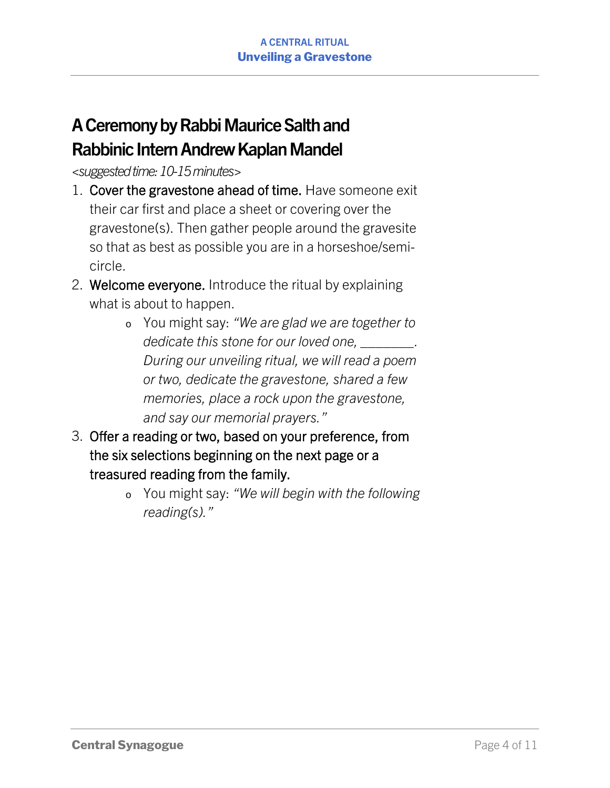# **ACeremony by Rabbi Maurice Salthand Rabbinic Intern Andrew Kaplan Mandel**

*<suggested time: 10-15minutes>*

- 1. Cover the gravestone ahead of time. Have someone exit their car first and place a sheet or covering over the gravestone(s). Then gather people around the gravesite so that as best as possible you are in a horseshoe/semicircle.
- 2. Welcome everyone. Introduce the ritual by explaining what is about to happen.
	- o You might say: *"We are glad we are together to dedicate this stone for our loved one, \_\_\_\_\_\_\_. During our unveiling ritual, we will read a poem or two, dedicate the gravestone, shared a few memories, place a rock upon the gravestone, and say our memorial prayers."*
- 3. Offer a reading or two, based on your preference, from the six selections beginning on the next page or a treasured reading from the family.
	- o You might say: *"We will begin with the following reading(s)."*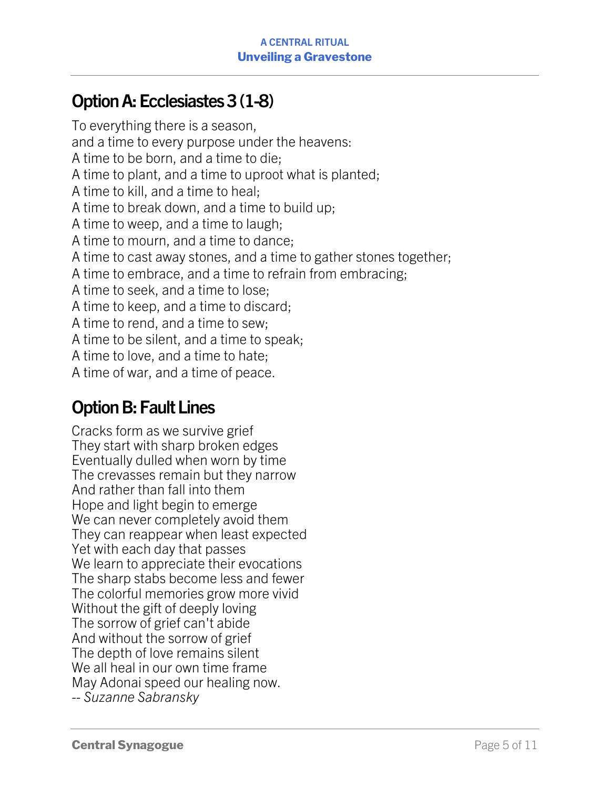## **OptionA: Ecclesiastes 3 (1-8)**

To everything there is a season, and a time to every purpose under the heavens: A time to be born, and a time to die; A time to plant, and a time to uproot what is planted; A time to kill, and a time to heal; A time to break down, and a time to build up; A time to weep, and a time to laugh; A time to mourn, and a time to dance; A time to cast away stones, and a time to gather stones together; A time to embrace, and a time to refrain from embracing; A time to seek, and a time to lose; A time to keep, and a time to discard; A time to rend, and a time to sew; A time to be silent, and a time to speak; A time to love, and a time to hate; A time of war, and a time of peace.

#### **Option B: Fault Lines**

Cracks form as we survive grief They start with sharp broken edges Eventually dulled when worn by time The crevasses remain but they narrow And rather than fall into them Hope and light begin to emerge We can never completely avoid them They can reappear when least expected Yet with each day that passes We learn to appreciate their evocations The sharp stabs become less and fewer The colorful memories grow more vivid Without the gift of deeply loving The sorrow of grief can't abide And without the sorrow of grief The depth of love remains silent We all heal in our own time frame May Adonai speed our healing now. *-- Suzanne Sabransky*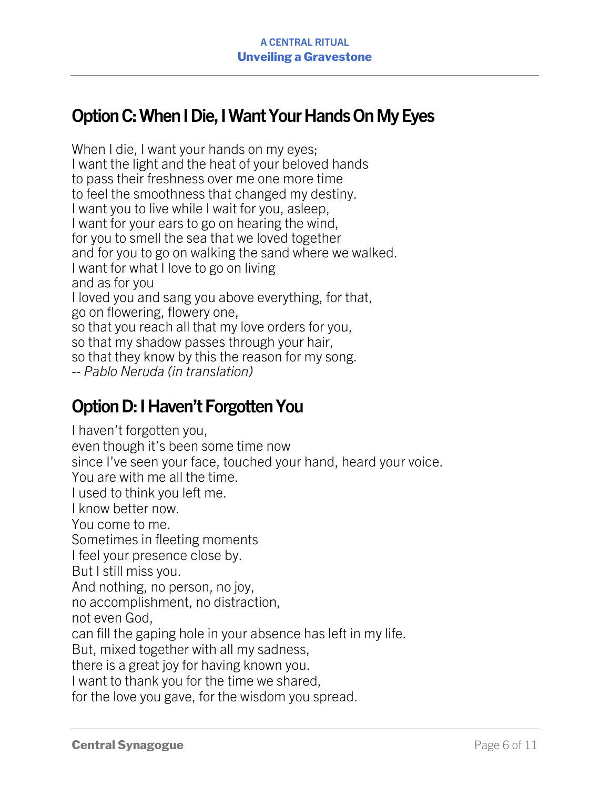## **OptionC:When I Die, I Want Your Hands On My Eyes**

When I die, I want your hands on my eyes; I want the light and the heat of your beloved hands to pass their freshness over me one more time to feel the smoothness that changed my destiny. I want you to live while I wait for you, asleep, I want for your ears to go on hearing the wind, for you to smell the sea that we loved together and for you to go on walking the sand where we walked. I want for what I love to go on living and as for you I loved you and sang you above everything, for that, go on flowering, flowery one, so that you reach all that my love orders for you, so that my shadow passes through your hair, so that they know by this the reason for my song. *-- Pablo Neruda (in translation)*

#### **Option D:I Haven't Forgotten You**

I haven't forgotten you, even though it's been some time now since I've seen your face, touched your hand, heard your voice. You are with me all the time. I used to think you left me. I know better now. You come to me. Sometimes in fleeting moments I feel your presence close by. But I still miss you. And nothing, no person, no joy, no accomplishment, no distraction, not even God, can fill the gaping hole in your absence has left in my life. But, mixed together with all my sadness, there is a great joy for having known you. I want to thank you for the time we shared, for the love you gave, for the wisdom you spread.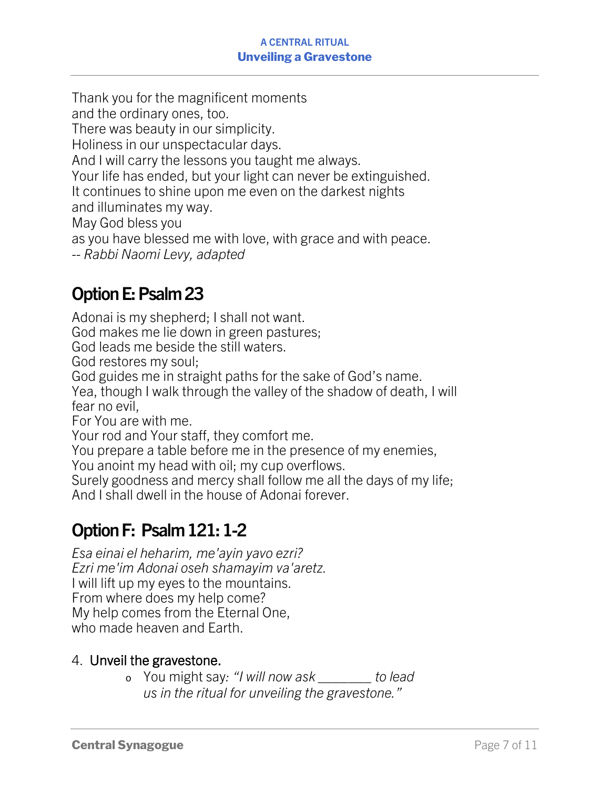#### **A CENTRAL RITUAL Unveiling a Gravestone**

Thank you for the magnificent moments and the ordinary ones, too. There was beauty in our simplicity. Holiness in our unspectacular days. And I will carry the lessons you taught me always. Your life has ended, but your light can never be extinguished. It continues to shine upon me even on the darkest nights and illuminates my way. May God bless you as you have blessed me with love, with grace and with peace. *-- Rabbi Naomi Levy, adapted*

# **Option E: Psalm 23**

Adonai is my shepherd; I shall not want. God makes me lie down in green pastures; God leads me beside the still waters. God restores my soul; God guides me in straight paths for the sake of God's name. Yea, though I walk through the valley of the shadow of death, I will fear no evil, For You are with me. Your rod and Your staff, they comfort me. You prepare a table before me in the presence of my enemies, You anoint my head with oil; my cup overflows. Surely goodness and mercy shall follow me all the days of my life;

And I shall dwell in the house of Adonai forever.

# **Option F: Psalm 121: 1-2**

*Esa einai el heharim, me'ayin yavo ezri? Ezri me'im Adonai oseh shamayim va'aretz.* I will lift up my eyes to the mountains. From where does my help come? My help comes from the Eternal One, who made heaven and Earth.

#### 4. Unveil the gravestone.

o You might say*: "I will now ask \_\_\_\_\_\_\_ to lead us in the ritual for unveiling the gravestone."*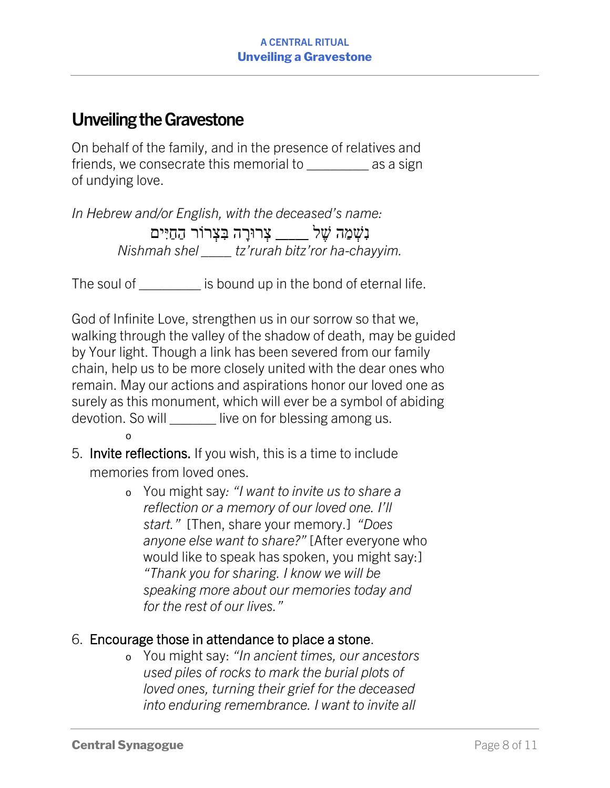#### **Unveiling the Gravestone**

On behalf of the family, and in the presence of relatives and friends, we consecrate this memorial to as a sign of undying love.

*In Hebrew and/or English, with the deceased's name:* נִשְׁמַה שֶׁל <u>\_</u>\_\_\_\_ צְרוּרָה בִּצְרוֹר הַחַיִּים *Nishmah shel \_\_\_\_ tz'rurah bitz'ror ha-chayyim.*

The soul of The soul of  $\qquad \qquad$  is bound up in the bond of eternal life.

God of Infinite Love, strengthen us in our sorrow so that we, walking through the valley of the shadow of death, may be guided by Your light. Though a link has been severed from our family chain, help us to be more closely united with the dear ones who remain. May our actions and aspirations honor our loved one as surely as this monument, which will ever be a symbol of abiding devotion. So will \_\_\_\_\_\_\_ live on for blessing among us.

- 5. Invite reflections. If you wish, this is a time to include memories from loved ones.
	- o You might say*: "I want to invite us to share a reflection or a memory of our loved one. I'll start."* [Then, share your memory.] *"Does anyone else want to share?"* [After everyone who would like to speak has spoken, you might say:] *"Thank you for sharing. I know we will be speaking more about our memories today and for the rest of our lives."*

#### 6. Encourage those in attendance to place a stone.

o You might say: *"In ancient times, our ancestors used piles of rocks to mark the burial plots of loved ones, turning their grief for the deceased into enduring remembrance. I want to invite all* 

o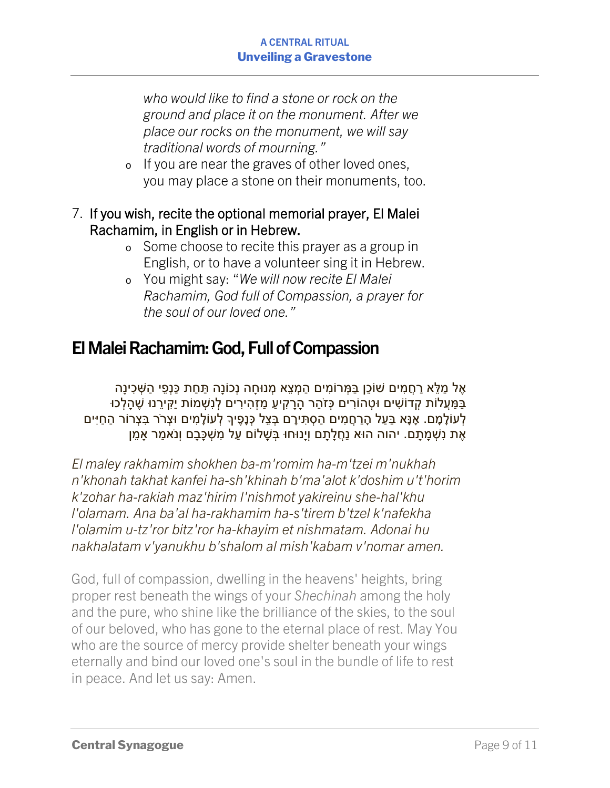#### **A CENTRAL RITUAL Unveiling a Gravestone**

*who would like to find a stone or rock on the ground and place it on the monument. After we place our rocks on the monument, we will say traditional words of mourning."*

- o If you are near the graves of other loved ones, you may place a stone on their monuments, too.
- 7. If you wish, recite the optional memorial prayer, El Malei Rachamim, in English or in Hebrew.
	- o Some choose to recite this prayer as a group in English, or to have a volunteer sing it in Hebrew.
	- o You might say: "*We will now recite El Malei Rachamim, God full of Compassion, a prayer for the soul of our loved one."*

## **El Malei Rachamim: God, Full of Compassion**

ָאֶל מַלֵּא רַחֶמִים שׁוֹכֵן בַּמְּרוֹמִים הַמְצֵא מְנוּחָה נְכוֹנֵה תַּחַת כַּנְפִי הַשָּׁכִינַה ַ בַּמַּעֲלוֹת קָדוֹשִׁים וּטָהוֹרִים כִּזֹהָר הַרַקִיעַ מַזְהִירִים לְנְשָׁמוֹת יַקִּירֵנוּ שֶׁהַלְכוּ לְעוֹלָמָם. אָנָּא בַּעַל הָרַחֲמִים הַסְתִּירָם בְּצֵל כְּנָפֶיךָ לְעוֹלָמִים וּצְרֹר בִּצְרוֹר הַחַיִּים אֶת נִשְׁמָתָם. יהוה הוּא נַחֲלָתָם וְיָנוּחוּ בְּשָׁלוֹם עַל מִשְׁכָּבָם וְנֹאמַר אָמֵן

*El maley rakhamim shokhen ba-m'romim ha-m'tzei m'nukhah n'khonah takhat kanfei ha-sh'khinah b'ma'alot k'doshim u't'horim k'zohar ha-rakiah maz'hirim l'nishmot yakireinu she-hal'khu l'olamam. Ana ba'al ha-rakhamim ha-s'tirem b'tzel k'nafekha l'olamim u-tz'ror bitz'ror ha-khayim et nishmatam. Adonai hu nakhalatam v'yanukhu b'shalom al mish'kabam v'nomar amen.*

God, full of compassion, dwelling in the heavens' heights, bring proper rest beneath the wings of your *Shechinah* among the holy and the pure, who shine like the brilliance of the skies, to the soul of our beloved, who has gone to the eternal place of rest. May You who are the source of mercy provide shelter beneath your wings eternally and bind our loved one's soul in the bundle of life to rest in peace. And let us say: Amen.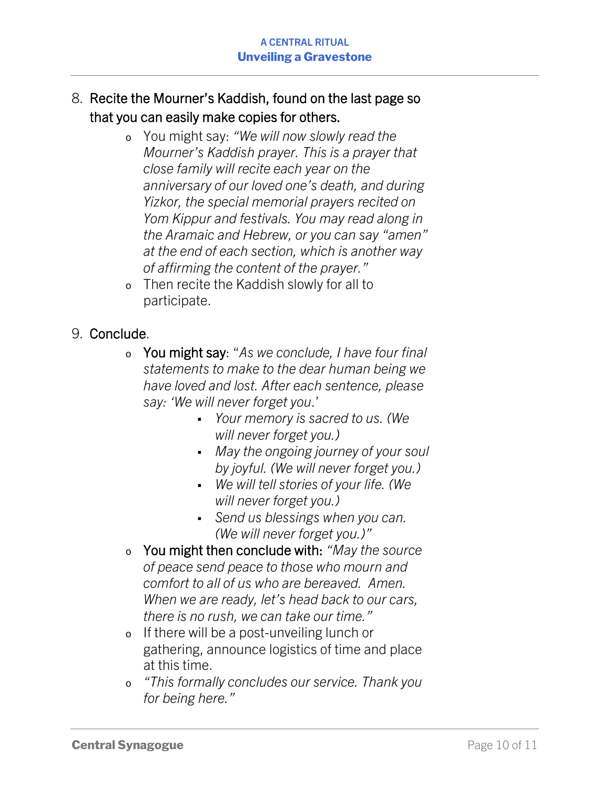- 8. Recite the Mourner's Kaddish, found on the last page so that you can easily make copies for others.
	- o You might say: *"We will now slowly read the Mourner's Kaddish prayer. This is a prayer that close family will recite each year on the anniversary of our loved one's death, and during Yizkor, the special memorial prayers recited on Yom Kippur and festivals. You may read along in the Aramaic and Hebrew, or you can say "amen" at the end of each section, which is another way of affirming the content of the prayer."*
	- o Then recite the Kaddish slowly for all to participate.

#### 9. Conclude.

- <sup>o</sup> You might say: "*As we conclude, I have four final statements to make to the dear human being we have loved and lost. After each sentence, please say: 'We will never forget you*.'
	- § *Your memory is sacred to us. (We will never forget you.)*
	- § *May the ongoing journey of your soul by joyful. (We will never forget you.)*
	- § *We will tell stories of your life. (We will never forget you.)*
	- § *Send us blessings when you can. (We will never forget you.)"*
- <sup>o</sup> You might then conclude with: *"May the source of peace send peace to those who mourn and comfort to all of us who are bereaved. Amen. When we are ready, let's head back to our cars, there is no rush, we can take our time."*
- o If there will be a post-unveiling lunch or gathering, announce logistics of time and place at this time.
- *"This formally concludes our service. Thank you for being here."*